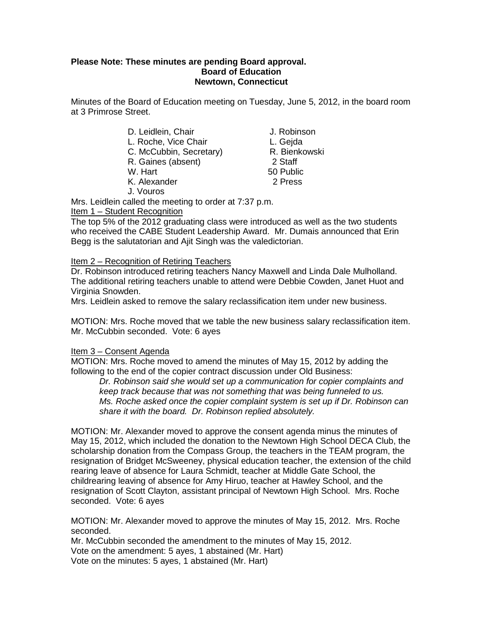### **Please Note: These minutes are pending Board approval. Board of Education Newtown, Connecticut**

Minutes of the Board of Education meeting on Tuesday, June 5, 2012, in the board room at 3 Primrose Street.

| D. Leidlein, Chair |  |
|--------------------|--|
|--------------------|--|

- L. Roche, Vice Chair **L. Gejda**<br>C. McCubbin. Secretary **R. Bienkowski**
- C. McCubbin, Secretary) R. Bienkowski, Secretary<br>R. Gaines (absent) 8 2 Staff
- R. Gaines (absent)
- -
- K. Alexander 2 Press
- W. Hart 50 Public

J. Robinson

J. Vouros

Mrs. Leidlein called the meeting to order at 7:37 p.m.

Item 1 – Student Recognition

The top 5% of the 2012 graduating class were introduced as well as the two students who received the CABE Student Leadership Award. Mr. Dumais announced that Erin Begg is the salutatorian and Ajit Singh was the valedictorian.

# Item 2 – Recognition of Retiring Teachers

Dr. Robinson introduced retiring teachers Nancy Maxwell and Linda Dale Mulholland. The additional retiring teachers unable to attend were Debbie Cowden, Janet Huot and Virginia Snowden.

Mrs. Leidlein asked to remove the salary reclassification item under new business.

MOTION: Mrs. Roche moved that we table the new business salary reclassification item. Mr. McCubbin seconded. Vote: 6 ayes

# Item 3 – Consent Agenda

MOTION: Mrs. Roche moved to amend the minutes of May 15, 2012 by adding the following to the end of the copier contract discussion under Old Business:

*Dr. Robinson said she would set up a communication for copier complaints and keep track because that was not something that was being funneled to us. Ms. Roche asked once the copier complaint system is set up if Dr. Robinson can share it with the board. Dr. Robinson replied absolutely.*

MOTION: Mr. Alexander moved to approve the consent agenda minus the minutes of May 15, 2012, which included the donation to the Newtown High School DECA Club, the scholarship donation from the Compass Group, the teachers in the TEAM program, the resignation of Bridget McSweeney, physical education teacher, the extension of the child rearing leave of absence for Laura Schmidt, teacher at Middle Gate School, the childrearing leaving of absence for Amy Hiruo, teacher at Hawley School, and the resignation of Scott Clayton, assistant principal of Newtown High School. Mrs. Roche seconded. Vote: 6 ayes

MOTION: Mr. Alexander moved to approve the minutes of May 15, 2012. Mrs. Roche seconded.

Mr. McCubbin seconded the amendment to the minutes of May 15, 2012. Vote on the amendment: 5 ayes, 1 abstained (Mr. Hart) Vote on the minutes: 5 ayes, 1 abstained (Mr. Hart)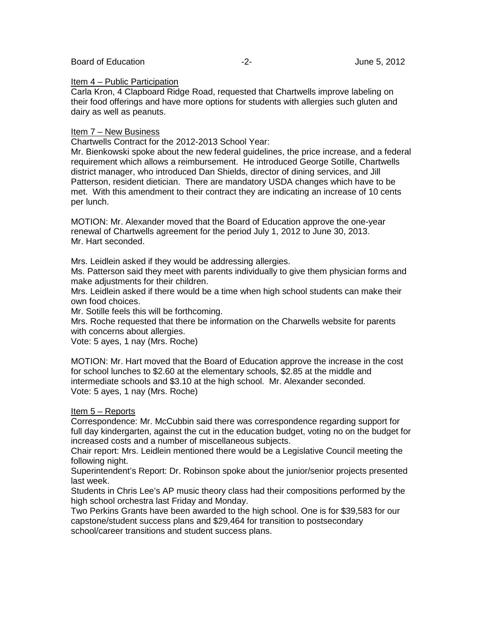#### Board of Education  $-2$ -<br>Board of Education  $-2$ -<br>Download and the United States of Dune 5, 2012

#### Item 4 – Public Participation

Carla Kron, 4 Clapboard Ridge Road, requested that Chartwells improve labeling on their food offerings and have more options for students with allergies such gluten and dairy as well as peanuts.

#### Item 7 – New Business

Chartwells Contract for the 2012-2013 School Year:

Mr. Bienkowski spoke about the new federal guidelines, the price increase, and a federal requirement which allows a reimbursement. He introduced George Sotille, Chartwells district manager, who introduced Dan Shields, director of dining services, and Jill Patterson, resident dietician. There are mandatory USDA changes which have to be met. With this amendment to their contract they are indicating an increase of 10 cents per lunch.

MOTION: Mr. Alexander moved that the Board of Education approve the one-year renewal of Chartwells agreement for the period July 1, 2012 to June 30, 2013. Mr. Hart seconded.

Mrs. Leidlein asked if they would be addressing allergies.

Ms. Patterson said they meet with parents individually to give them physician forms and make adjustments for their children.

Mrs. Leidlein asked if there would be a time when high school students can make their own food choices.

Mr. Sotille feels this will be forthcoming.

Mrs. Roche requested that there be information on the Charwells website for parents with concerns about allergies.

Vote: 5 ayes, 1 nay (Mrs. Roche)

MOTION: Mr. Hart moved that the Board of Education approve the increase in the cost for school lunches to \$2.60 at the elementary schools, \$2.85 at the middle and intermediate schools and \$3.10 at the high school. Mr. Alexander seconded. Vote: 5 ayes, 1 nay (Mrs. Roche)

#### Item 5 – Reports

Correspondence: Mr. McCubbin said there was correspondence regarding support for full day kindergarten, against the cut in the education budget, voting no on the budget for increased costs and a number of miscellaneous subjects.

Chair report: Mrs. Leidlein mentioned there would be a Legislative Council meeting the following night.

Superintendent's Report: Dr. Robinson spoke about the junior/senior projects presented last week.

Students in Chris Lee's AP music theory class had their compositions performed by the high school orchestra last Friday and Monday.

Two Perkins Grants have been awarded to the high school. One is for \$39,583 for our capstone/student success plans and \$29,464 for transition to postsecondary school/career transitions and student success plans.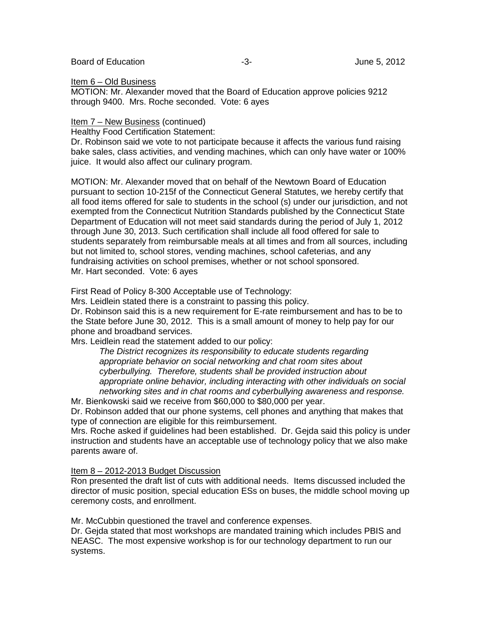Board of Education **-3-** Figure 5, 2012

### Item 6 – Old Business

MOTION: Mr. Alexander moved that the Board of Education approve policies 9212 through 9400. Mrs. Roche seconded. Vote: 6 ayes

### Item 7 – New Business (continued)

Healthy Food Certification Statement:

Dr. Robinson said we vote to not participate because it affects the various fund raising bake sales, class activities, and vending machines, which can only have water or 100% juice. It would also affect our culinary program.

MOTION: Mr. Alexander moved that on behalf of the Newtown Board of Education pursuant to section 10-215f of the Connecticut General Statutes, we hereby certify that all food items offered for sale to students in the school (s) under our jurisdiction, and not exempted from the Connecticut Nutrition Standards published by the Connecticut State Department of Education will not meet said standards during the period of July 1, 2012 through June 30, 2013. Such certification shall include all food offered for sale to students separately from reimbursable meals at all times and from all sources, including but not limited to, school stores, vending machines, school cafeterias, and any fundraising activities on school premises, whether or not school sponsored. Mr. Hart seconded. Vote: 6 ayes

First Read of Policy 8-300 Acceptable use of Technology:

Mrs. Leidlein stated there is a constraint to passing this policy.

Dr. Robinson said this is a new requirement for E-rate reimbursement and has to be to the State before June 30, 2012. This is a small amount of money to help pay for our phone and broadband services.

Mrs. Leidlein read the statement added to our policy:

*The District recognizes its responsibility to educate students regarding appropriate behavior on social networking and chat room sites about cyberbullying. Therefore, students shall be provided instruction about appropriate online behavior, including interacting with other individuals on social networking sites and in chat rooms and cyberbullying awareness and response.*

Mr. Bienkowski said we receive from \$60,000 to \$80,000 per year.

Dr. Robinson added that our phone systems, cell phones and anything that makes that type of connection are eligible for this reimbursement.

Mrs. Roche asked if guidelines had been established. Dr. Gejda said this policy is under instruction and students have an acceptable use of technology policy that we also make parents aware of.

# Item 8 – 2012-2013 Budget Discussion

Ron presented the draft list of cuts with additional needs. Items discussed included the director of music position, special education ESs on buses, the middle school moving up ceremony costs, and enrollment.

Mr. McCubbin questioned the travel and conference expenses.

Dr. Gejda stated that most workshops are mandated training which includes PBIS and NEASC. The most expensive workshop is for our technology department to run our systems.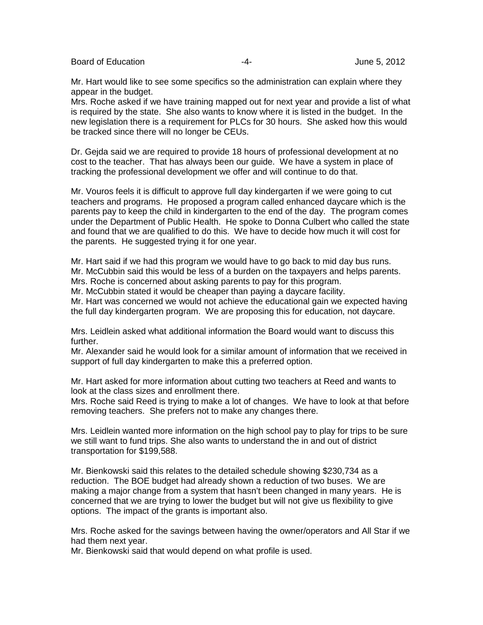Board of Education  $-4 -4-$  June 5, 2012

Mr. Hart would like to see some specifics so the administration can explain where they appear in the budget.

Mrs. Roche asked if we have training mapped out for next year and provide a list of what is required by the state. She also wants to know where it is listed in the budget. In the new legislation there is a requirement for PLCs for 30 hours. She asked how this would be tracked since there will no longer be CEUs.

Dr. Gejda said we are required to provide 18 hours of professional development at no cost to the teacher. That has always been our guide. We have a system in place of tracking the professional development we offer and will continue to do that.

Mr. Vouros feels it is difficult to approve full day kindergarten if we were going to cut teachers and programs. He proposed a program called enhanced daycare which is the parents pay to keep the child in kindergarten to the end of the day. The program comes under the Department of Public Health. He spoke to Donna Culbert who called the state and found that we are qualified to do this. We have to decide how much it will cost for the parents. He suggested trying it for one year.

Mr. Hart said if we had this program we would have to go back to mid day bus runs. Mr. McCubbin said this would be less of a burden on the taxpayers and helps parents. Mrs. Roche is concerned about asking parents to pay for this program.

Mr. McCubbin stated it would be cheaper than paying a daycare facility.

Mr. Hart was concerned we would not achieve the educational gain we expected having the full day kindergarten program. We are proposing this for education, not daycare.

Mrs. Leidlein asked what additional information the Board would want to discuss this further.

Mr. Alexander said he would look for a similar amount of information that we received in support of full day kindergarten to make this a preferred option.

Mr. Hart asked for more information about cutting two teachers at Reed and wants to look at the class sizes and enrollment there.

Mrs. Roche said Reed is trying to make a lot of changes. We have to look at that before removing teachers. She prefers not to make any changes there.

Mrs. Leidlein wanted more information on the high school pay to play for trips to be sure we still want to fund trips. She also wants to understand the in and out of district transportation for \$199,588.

Mr. Bienkowski said this relates to the detailed schedule showing \$230,734 as a reduction. The BOE budget had already shown a reduction of two buses. We are making a major change from a system that hasn't been changed in many years. He is concerned that we are trying to lower the budget but will not give us flexibility to give options. The impact of the grants is important also.

Mrs. Roche asked for the savings between having the owner/operators and All Star if we had them next year.

Mr. Bienkowski said that would depend on what profile is used.